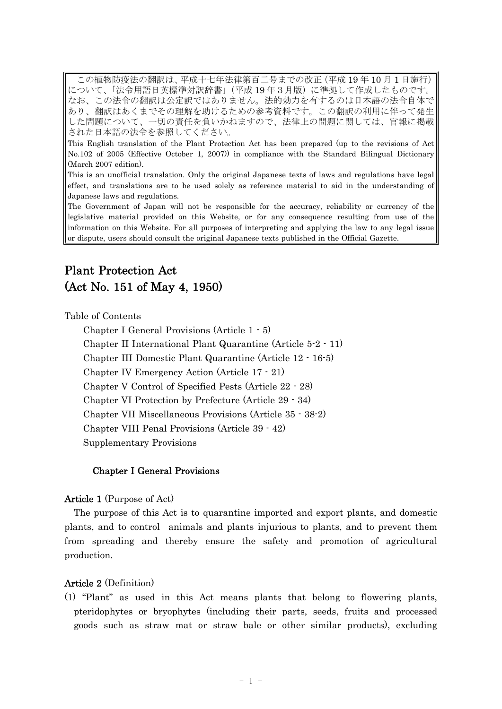この植物防疫法の翻訳は、平成十七年法律第百二号までの改正 (平成 19年10月1日施行) について、「法令用語日英標準対訳辞書」(平成19年3月版)に準拠して作成したものです。 なお、この法令の翻訳は公定訳ではありません。法的効力を有するのは日本語の法令自体で あり、翻訳はあくまでその理解を助けるための参考資料です。この翻訳の利用に伴って発生 した問題について、一切の責任を負いかねますので、法律上の問題に関しては、官報に掲載 された日本語の法令を参照してください。

This English translation of the Plant Protection Act has been prepared (up to the revisions of Act No.102 of 2005 (Effective October 1, 2007)) in compliance with the Standard Bilingual Dictionary (March 2007 edition).

This is an unofficial translation. Only the original Japanese texts of laws and regulations have legal effect, and translations are to be used solely as reference material to aid in the understanding of Japanese laws and regulations.

The Government of Japan will not be responsible for the accuracy, reliability or currency of the legislative material provided on this Website, or for any consequence resulting from use of the information on this Website. For all purposes of interpreting and applying the law to any legal issue or dispute, users should consult the original Japanese texts published in the Official Gazette.

# Plant Protection Act (Act No. 151 of May 4, 1950)

Table of Contents

Chapter I General Provisions (Article 1 - 5) Chapter II International Plant Quarantine (Article 5-2 - 11) Chapter III Domestic Plant Quarantine (Article 12 - 16-5) Chapter IV Emergency Action (Article 17 - 21) Chapter V Control of Specified Pests (Article 22 - 28) Chapter VI Protection by Prefecture (Article 29 - 34) Chapter VII Miscellaneous Provisions (Article 35 - 38-2) Chapter VIII Penal Provisions (Article 39 - 42) Supplementary Provisions

# Chapter I General Provisions

# Article 1 (Purpose of Act)

The purpose of this Act is to quarantine imported and export plants, and domestic plants, and to control animals and plants injurious to plants, and to prevent them from spreading and thereby ensure the safety and promotion of agricultural production.

# Article 2 (Definition)

(1) "Plant" as used in this Act means plants that belong to flowering plants, pteridophytes or bryophytes (including their parts, seeds, fruits and processed goods such as straw mat or straw bale or other similar products), excluding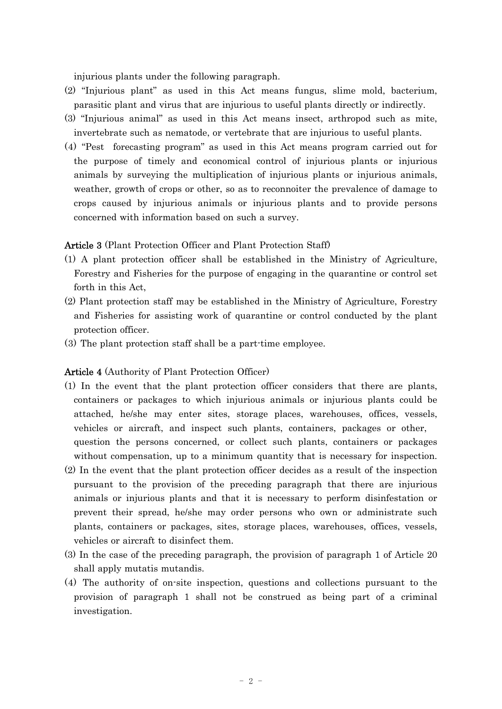injurious plants under the following paragraph.

- (2) "Injurious plant" as used in this Act means fungus, slime mold, bacterium, parasitic plant and virus that are injurious to useful plants directly or indirectly.
- (3) "Injurious animal" as used in this Act means insect, arthropod such as mite, invertebrate such as nematode, or vertebrate that are injurious to useful plants.
- (4) "Pest forecasting program" as used in this Act means program carried out for the purpose of timely and economical control of injurious plants or injurious animals by surveying the multiplication of injurious plants or injurious animals, weather, growth of crops or other, so as to reconnoiter the prevalence of damage to crops caused by injurious animals or injurious plants and to provide persons concerned with information based on such a survey.

### Article 3 (Plant Protection Officer and Plant Protection Staff)

- (1) A plant protection officer shall be established in the Ministry of Agriculture, Forestry and Fisheries for the purpose of engaging in the quarantine or control set forth in this Act,
- (2) Plant protection staff may be established in the Ministry of Agriculture, Forestry and Fisheries for assisting work of quarantine or control conducted by the plant protection officer.
- (3) The plant protection staff shall be a part-time employee.

### Article 4 (Authority of Plant Protection Officer)

- (1) In the event that the plant protection officer considers that there are plants, containers or packages to which injurious animals or injurious plants could be attached, he/she may enter sites, storage places, warehouses, offices, vessels, vehicles or aircraft, and inspect such plants, containers, packages or other, question the persons concerned, or collect such plants, containers or packages without compensation, up to a minimum quantity that is necessary for inspection.
- (2) In the event that the plant protection officer decides as a result of the inspection pursuant to the provision of the preceding paragraph that there are injurious animals or injurious plants and that it is necessary to perform disinfestation or prevent their spread, he/she may order persons who own or administrate such plants, containers or packages, sites, storage places, warehouses, offices, vessels, vehicles or aircraft to disinfect them.
- (3) In the case of the preceding paragraph, the provision of paragraph 1 of Article 20 shall apply mutatis mutandis.
- (4) The authority of on-site inspection, questions and collections pursuant to the provision of paragraph 1 shall not be construed as being part of a criminal investigation.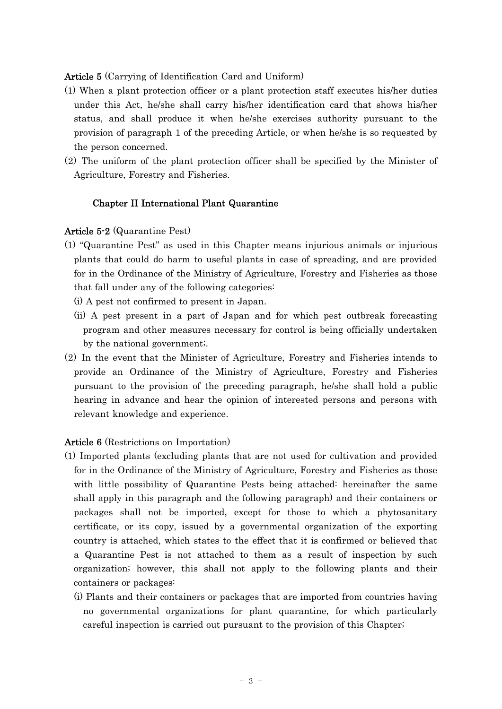Article 5 (Carrying of Identification Card and Uniform)

- (1) When a plant protection officer or a plant protection staff executes his/her duties under this Act, he/she shall carry his/her identification card that shows his/her status, and shall produce it when he/she exercises authority pursuant to the provision of paragraph 1 of the preceding Article, or when he/she is so requested by the person concerned.
- (2) The uniform of the plant protection officer shall be specified by the Minister of Agriculture, Forestry and Fisheries.

# Chapter II International Plant Quarantine

# Article 5-2 (Quarantine Pest)

- (1) "Quarantine Pest" as used in this Chapter means injurious animals or injurious plants that could do harm to useful plants in case of spreading, and are provided for in the Ordinance of the Ministry of Agriculture, Forestry and Fisheries as those that fall under any of the following categories:
	- (i) A pest not confirmed to present in Japan.
	- (ii) A pest present in a part of Japan and for which pest outbreak forecasting program and other measures necessary for control is being officially undertaken by the national government;.
- (2) In the event that the Minister of Agriculture, Forestry and Fisheries intends to provide an Ordinance of the Ministry of Agriculture, Forestry and Fisheries pursuant to the provision of the preceding paragraph, he/she shall hold a public hearing in advance and hear the opinion of interested persons and persons with relevant knowledge and experience.

# Article 6 (Restrictions on Importation)

- (1) Imported plants (excluding plants that are not used for cultivation and provided for in the Ordinance of the Ministry of Agriculture, Forestry and Fisheries as those with little possibility of Quarantine Pests being attached: hereinafter the same shall apply in this paragraph and the following paragraph) and their containers or packages shall not be imported, except for those to which a phytosanitary certificate, or its copy, issued by a governmental organization of the exporting country is attached, which states to the effect that it is confirmed or believed that a Quarantine Pest is not attached to them as a result of inspection by such organization; however, this shall not apply to the following plants and their containers or packages:
	- (i) Plants and their containers or packages that are imported from countries having no governmental organizations for plant quarantine, for which particularly careful inspection is carried out pursuant to the provision of this Chapter;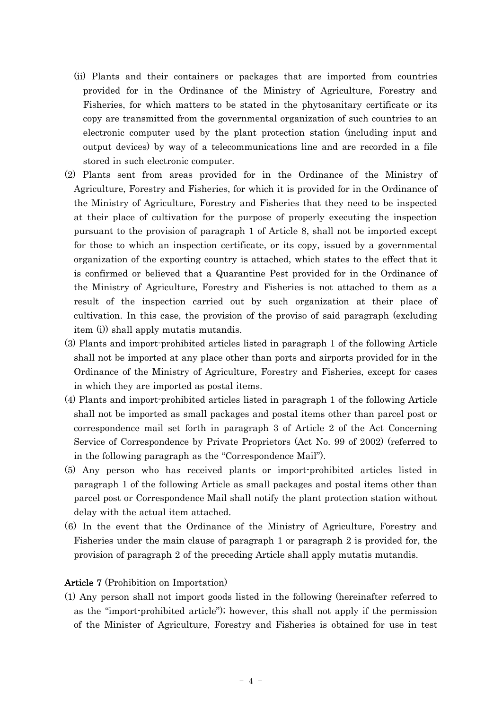- (ii) Plants and their containers or packages that are imported from countries provided for in the Ordinance of the Ministry of Agriculture, Forestry and Fisheries, for which matters to be stated in the phytosanitary certificate or its copy are transmitted from the governmental organization of such countries to an electronic computer used by the plant protection station (including input and output devices) by way of a telecommunications line and are recorded in a file stored in such electronic computer.
- (2) Plants sent from areas provided for in the Ordinance of the Ministry of Agriculture, Forestry and Fisheries, for which it is provided for in the Ordinance of the Ministry of Agriculture, Forestry and Fisheries that they need to be inspected at their place of cultivation for the purpose of properly executing the inspection pursuant to the provision of paragraph 1 of Article 8, shall not be imported except for those to which an inspection certificate, or its copy, issued by a governmental organization of the exporting country is attached, which states to the effect that it is confirmed or believed that a Quarantine Pest provided for in the Ordinance of the Ministry of Agriculture, Forestry and Fisheries is not attached to them as a result of the inspection carried out by such organization at their place of cultivation. In this case, the provision of the proviso of said paragraph (excluding item (i)) shall apply mutatis mutandis.
- (3) Plants and import-prohibited articles listed in paragraph 1 of the following Article shall not be imported at any place other than ports and airports provided for in the Ordinance of the Ministry of Agriculture, Forestry and Fisheries, except for cases in which they are imported as postal items.
- (4) Plants and import-prohibited articles listed in paragraph 1 of the following Article shall not be imported as small packages and postal items other than parcel post or correspondence mail set forth in paragraph 3 of Article 2 of the Act Concerning Service of Correspondence by Private Proprietors (Act No. 99 of 2002) (referred to in the following paragraph as the "Correspondence Mail").
- (5) Any person who has received plants or import-prohibited articles listed in paragraph 1 of the following Article as small packages and postal items other than parcel post or Correspondence Mail shall notify the plant protection station without delay with the actual item attached.
- (6) In the event that the Ordinance of the Ministry of Agriculture, Forestry and Fisheries under the main clause of paragraph 1 or paragraph 2 is provided for, the provision of paragraph 2 of the preceding Article shall apply mutatis mutandis.

# Article 7 (Prohibition on Importation)

(1) Any person shall not import goods listed in the following (hereinafter referred to as the "import-prohibited article"); however, this shall not apply if the permission of the Minister of Agriculture, Forestry and Fisheries is obtained for use in test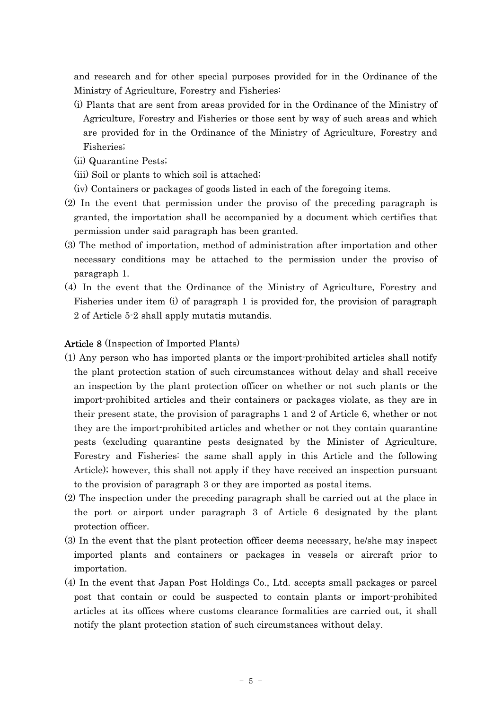and research and for other special purposes provided for in the Ordinance of the Ministry of Agriculture, Forestry and Fisheries:

- (i) Plants that are sent from areas provided for in the Ordinance of the Ministry of Agriculture, Forestry and Fisheries or those sent by way of such areas and which are provided for in the Ordinance of the Ministry of Agriculture, Forestry and Fisheries;
- (ii) Quarantine Pests;
- (iii) Soil or plants to which soil is attached;
- (iv) Containers or packages of goods listed in each of the foregoing items.
- (2) In the event that permission under the proviso of the preceding paragraph is granted, the importation shall be accompanied by a document which certifies that permission under said paragraph has been granted.
- (3) The method of importation, method of administration after importation and other necessary conditions may be attached to the permission under the proviso of paragraph 1.
- (4) In the event that the Ordinance of the Ministry of Agriculture, Forestry and Fisheries under item (i) of paragraph 1 is provided for, the provision of paragraph 2 of Article 5-2 shall apply mutatis mutandis.

# Article 8 (Inspection of Imported Plants)

- (1) Any person who has imported plants or the import-prohibited articles shall notify the plant protection station of such circumstances without delay and shall receive an inspection by the plant protection officer on whether or not such plants or the import-prohibited articles and their containers or packages violate, as they are in their present state, the provision of paragraphs 1 and 2 of Article 6, whether or not they are the import-prohibited articles and whether or not they contain quarantine pests (excluding quarantine pests designated by the Minister of Agriculture, Forestry and Fisheries: the same shall apply in this Article and the following Article); however, this shall not apply if they have received an inspection pursuant to the provision of paragraph 3 or they are imported as postal items.
- (2) The inspection under the preceding paragraph shall be carried out at the place in the port or airport under paragraph 3 of Article 6 designated by the plant protection officer.
- (3) In the event that the plant protection officer deems necessary, he/she may inspect imported plants and containers or packages in vessels or aircraft prior to importation.
- (4) In the event that Japan Post Holdings Co., Ltd. accepts small packages or parcel post that contain or could be suspected to contain plants or import-prohibited articles at its offices where customs clearance formalities are carried out, it shall notify the plant protection station of such circumstances without delay.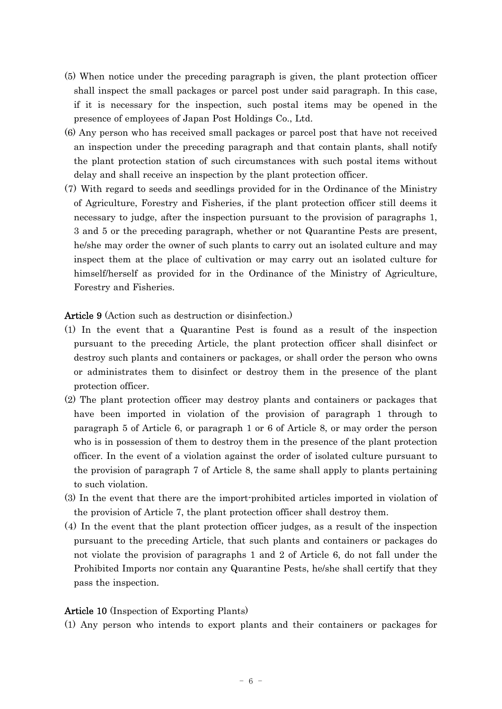- (5) When notice under the preceding paragraph is given, the plant protection officer shall inspect the small packages or parcel post under said paragraph. In this case, if it is necessary for the inspection, such postal items may be opened in the presence of employees of Japan Post Holdings Co., Ltd.
- (6) Any person who has received small packages or parcel post that have not received an inspection under the preceding paragraph and that contain plants, shall notify the plant protection station of such circumstances with such postal items without delay and shall receive an inspection by the plant protection officer.
- (7) With regard to seeds and seedlings provided for in the Ordinance of the Ministry of Agriculture, Forestry and Fisheries, if the plant protection officer still deems it necessary to judge, after the inspection pursuant to the provision of paragraphs 1, 3 and 5 or the preceding paragraph, whether or not Quarantine Pests are present, he/she may order the owner of such plants to carry out an isolated culture and may inspect them at the place of cultivation or may carry out an isolated culture for himself/herself as provided for in the Ordinance of the Ministry of Agriculture, Forestry and Fisheries.

Article 9 (Action such as destruction or disinfection.)

- (1) In the event that a Quarantine Pest is found as a result of the inspection pursuant to the preceding Article, the plant protection officer shall disinfect or destroy such plants and containers or packages, or shall order the person who owns or administrates them to disinfect or destroy them in the presence of the plant protection officer.
- (2) The plant protection officer may destroy plants and containers or packages that have been imported in violation of the provision of paragraph 1 through to paragraph 5 of Article 6, or paragraph 1 or 6 of Article 8, or may order the person who is in possession of them to destroy them in the presence of the plant protection officer. In the event of a violation against the order of isolated culture pursuant to the provision of paragraph 7 of Article 8, the same shall apply to plants pertaining to such violation.
- (3) In the event that there are the import-prohibited articles imported in violation of the provision of Article 7, the plant protection officer shall destroy them.
- (4) In the event that the plant protection officer judges, as a result of the inspection pursuant to the preceding Article, that such plants and containers or packages do not violate the provision of paragraphs 1 and 2 of Article 6, do not fall under the Prohibited Imports nor contain any Quarantine Pests, he/she shall certify that they pass the inspection.

# Article 10 (Inspection of Exporting Plants)

(1) Any person who intends to export plants and their containers or packages for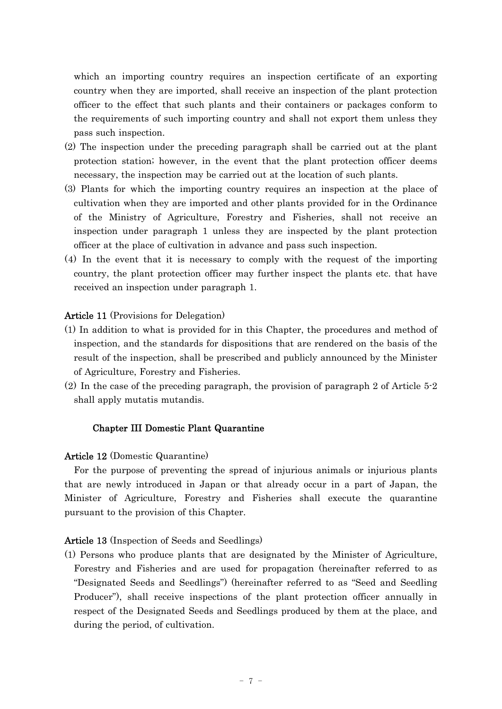which an importing country requires an inspection certificate of an exporting country when they are imported, shall receive an inspection of the plant protection officer to the effect that such plants and their containers or packages conform to the requirements of such importing country and shall not export them unless they pass such inspection.

- (2) The inspection under the preceding paragraph shall be carried out at the plant protection station; however, in the event that the plant protection officer deems necessary, the inspection may be carried out at the location of such plants.
- (3) Plants for which the importing country requires an inspection at the place of cultivation when they are imported and other plants provided for in the Ordinance of the Ministry of Agriculture, Forestry and Fisheries, shall not receive an inspection under paragraph 1 unless they are inspected by the plant protection officer at the place of cultivation in advance and pass such inspection.
- (4) In the event that it is necessary to comply with the request of the importing country, the plant protection officer may further inspect the plants etc. that have received an inspection under paragraph 1.

# Article 11 (Provisions for Delegation)

- (1) In addition to what is provided for in this Chapter, the procedures and method of inspection, and the standards for dispositions that are rendered on the basis of the result of the inspection, shall be prescribed and publicly announced by the Minister of Agriculture, Forestry and Fisheries.
- (2) In the case of the preceding paragraph, the provision of paragraph 2 of Article 5-2 shall apply mutatis mutandis.

# Chapter III Domestic Plant Quarantine

# Article 12 (Domestic Quarantine)

For the purpose of preventing the spread of injurious animals or injurious plants that are newly introduced in Japan or that already occur in a part of Japan, the Minister of Agriculture, Forestry and Fisheries shall execute the quarantine pursuant to the provision of this Chapter.

### Article 13 (Inspection of Seeds and Seedlings)

(1) Persons who produce plants that are designated by the Minister of Agriculture, Forestry and Fisheries and are used for propagation (hereinafter referred to as "Designated Seeds and Seedlings") (hereinafter referred to as "Seed and Seedling Producer"), shall receive inspections of the plant protection officer annually in respect of the Designated Seeds and Seedlings produced by them at the place, and during the period, of cultivation.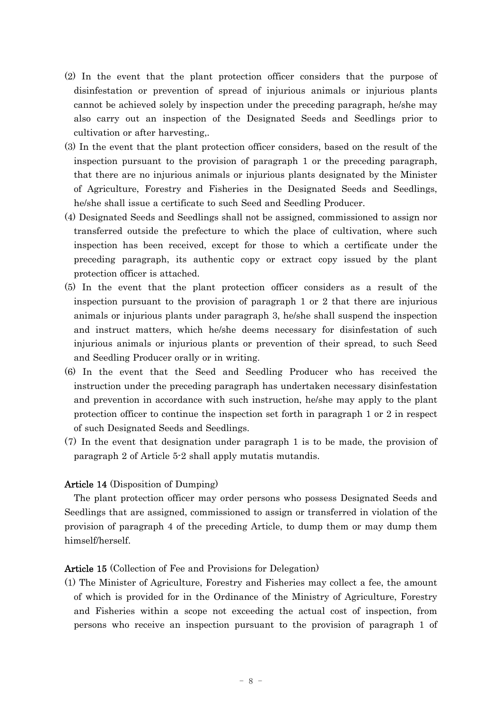- (2) In the event that the plant protection officer considers that the purpose of disinfestation or prevention of spread of injurious animals or injurious plants cannot be achieved solely by inspection under the preceding paragraph, he/she may also carry out an inspection of the Designated Seeds and Seedlings prior to cultivation or after harvesting,.
- (3) In the event that the plant protection officer considers, based on the result of the inspection pursuant to the provision of paragraph 1 or the preceding paragraph, that there are no injurious animals or injurious plants designated by the Minister of Agriculture, Forestry and Fisheries in the Designated Seeds and Seedlings, he/she shall issue a certificate to such Seed and Seedling Producer.
- (4) Designated Seeds and Seedlings shall not be assigned, commissioned to assign nor transferred outside the prefecture to which the place of cultivation, where such inspection has been received, except for those to which a certificate under the preceding paragraph, its authentic copy or extract copy issued by the plant protection officer is attached.
- (5) In the event that the plant protection officer considers as a result of the inspection pursuant to the provision of paragraph 1 or 2 that there are injurious animals or injurious plants under paragraph 3, he/she shall suspend the inspection and instruct matters, which he/she deems necessary for disinfestation of such injurious animals or injurious plants or prevention of their spread, to such Seed and Seedling Producer orally or in writing.
- (6) In the event that the Seed and Seedling Producer who has received the instruction under the preceding paragraph has undertaken necessary disinfestation and prevention in accordance with such instruction, he/she may apply to the plant protection officer to continue the inspection set forth in paragraph 1 or 2 in respect of such Designated Seeds and Seedlings.
- (7) In the event that designation under paragraph 1 is to be made, the provision of paragraph 2 of Article 5-2 shall apply mutatis mutandis.

# Article 14 (Disposition of Dumping)

The plant protection officer may order persons who possess Designated Seeds and Seedlings that are assigned, commissioned to assign or transferred in violation of the provision of paragraph 4 of the preceding Article, to dump them or may dump them himself/herself.

# Article 15 (Collection of Fee and Provisions for Delegation)

(1) The Minister of Agriculture, Forestry and Fisheries may collect a fee, the amount of which is provided for in the Ordinance of the Ministry of Agriculture, Forestry and Fisheries within a scope not exceeding the actual cost of inspection, from persons who receive an inspection pursuant to the provision of paragraph 1 of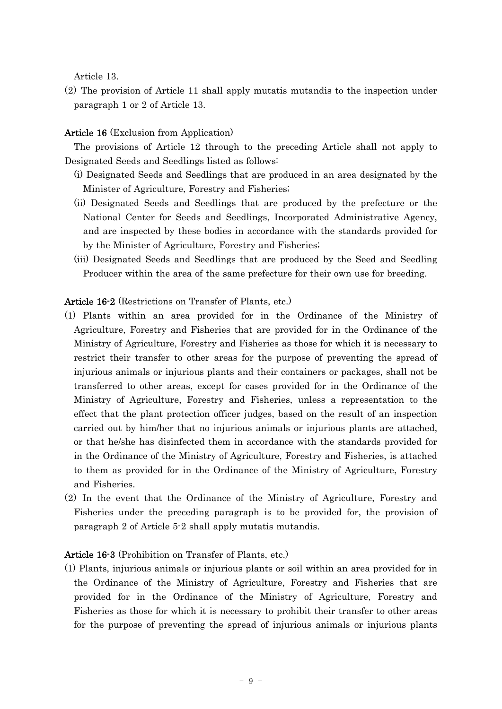Article 13.

(2) The provision of Article 11 shall apply mutatis mutandis to the inspection under paragraph 1 or 2 of Article 13.

# Article 16 (Exclusion from Application)

The provisions of Article 12 through to the preceding Article shall not apply to Designated Seeds and Seedlings listed as follows:

- (i) Designated Seeds and Seedlings that are produced in an area designated by the Minister of Agriculture, Forestry and Fisheries;
- (ii) Designated Seeds and Seedlings that are produced by the prefecture or the National Center for Seeds and Seedlings, Incorporated Administrative Agency, and are inspected by these bodies in accordance with the standards provided for by the Minister of Agriculture, Forestry and Fisheries;
- (iii) Designated Seeds and Seedlings that are produced by the Seed and Seedling Producer within the area of the same prefecture for their own use for breeding.

# Article 16-2 (Restrictions on Transfer of Plants, etc.)

- (1) Plants within an area provided for in the Ordinance of the Ministry of Agriculture, Forestry and Fisheries that are provided for in the Ordinance of the Ministry of Agriculture, Forestry and Fisheries as those for which it is necessary to restrict their transfer to other areas for the purpose of preventing the spread of injurious animals or injurious plants and their containers or packages, shall not be transferred to other areas, except for cases provided for in the Ordinance of the Ministry of Agriculture, Forestry and Fisheries, unless a representation to the effect that the plant protection officer judges, based on the result of an inspection carried out by him/her that no injurious animals or injurious plants are attached, or that he/she has disinfected them in accordance with the standards provided for in the Ordinance of the Ministry of Agriculture, Forestry and Fisheries, is attached to them as provided for in the Ordinance of the Ministry of Agriculture, Forestry and Fisheries.
- (2) In the event that the Ordinance of the Ministry of Agriculture, Forestry and Fisheries under the preceding paragraph is to be provided for, the provision of paragraph 2 of Article 5-2 shall apply mutatis mutandis.

# Article 16-3 (Prohibition on Transfer of Plants, etc.)

(1) Plants, injurious animals or injurious plants or soil within an area provided for in the Ordinance of the Ministry of Agriculture, Forestry and Fisheries that are provided for in the Ordinance of the Ministry of Agriculture, Forestry and Fisheries as those for which it is necessary to prohibit their transfer to other areas for the purpose of preventing the spread of injurious animals or injurious plants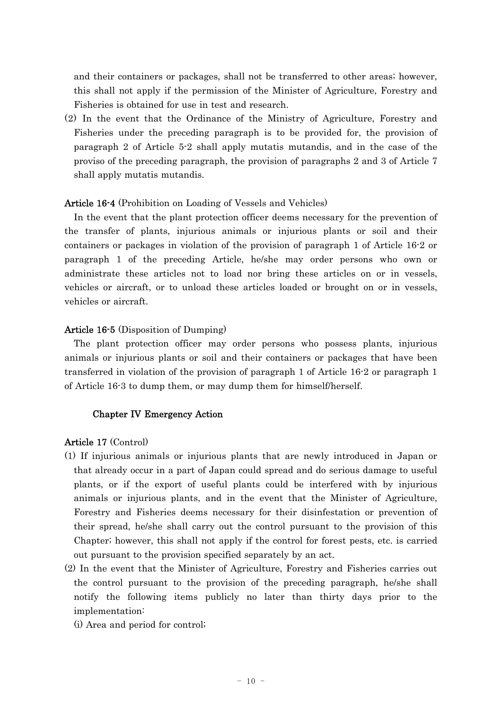and their containers or packages, shall not be transferred to other areas; however, this shall not apply if the permission of the Minister of Agriculture, Forestry and Fisheries is obtained for use in test and research.

(2) In the event that the Ordinance of the Ministry of Agriculture, Forestry and Fisheries under the preceding paragraph is to be provided for, the provision of paragraph 2 of Article 5-2 shall apply mutatis mutandis, and in the case of the proviso of the preceding paragraph, the provision of paragraphs 2 and 3 of Article 7 shall apply mutatis mutandis.

# Article 16-4 (Prohibition on Loading of Vessels and Vehicles)

In the event that the plant protection officer deems necessary for the prevention of the transfer of plants, injurious animals or injurious plants or soil and their containers or packages in violation of the provision of paragraph 1 of Article 16-2 or paragraph 1 of the preceding Article, he/she may order persons who own or administrate these articles not to load nor bring these articles on or in vessels, vehicles or aircraft, or to unload these articles loaded or brought on or in vessels, vehicles or aircraft.

# Article 16-5 (Disposition of Dumping)

The plant protection officer may order persons who possess plants, injurious animals or injurious plants or soil and their containers or packages that have been transferred in violation of the provision of paragraph 1 of Article 16-2 or paragraph 1 of Article 16-3 to dump them, or may dump them for himself/herself.

### Chapter IV Emergency Action

### Article 17 (Control)

- (1) If injurious animals or injurious plants that are newly introduced in Japan or that already occur in a part of Japan could spread and do serious damage to useful plants, or if the export of useful plants could be interfered with by injurious animals or injurious plants, and in the event that the Minister of Agriculture, Forestry and Fisheries deems necessary for their disinfestation or prevention of their spread, he/she shall carry out the control pursuant to the provision of this Chapter; however, this shall not apply if the control for forest pests, etc. is carried out pursuant to the provision specified separately by an act.
- (2) In the event that the Minister of Agriculture, Forestry and Fisheries carries out the control pursuant to the provision of the preceding paragraph, he/she shall notify the following items publicly no later than thirty days prior to the implementation:
	- (i) Area and period for control;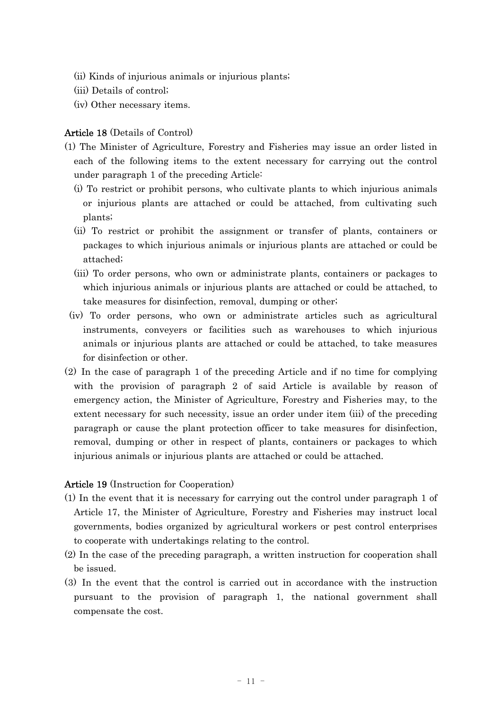- (ii) Kinds of injurious animals or injurious plants;
- (iii) Details of control;
- (iv) Other necessary items.

# Article 18 (Details of Control)

- (1) The Minister of Agriculture, Forestry and Fisheries may issue an order listed in each of the following items to the extent necessary for carrying out the control under paragraph 1 of the preceding Article:
	- (i) To restrict or prohibit persons, who cultivate plants to which injurious animals or injurious plants are attached or could be attached, from cultivating such plants;
	- (ii) To restrict or prohibit the assignment or transfer of plants, containers or packages to which injurious animals or injurious plants are attached or could be attached;
	- (iii) To order persons, who own or administrate plants, containers or packages to which injurious animals or injurious plants are attached or could be attached, to take measures for disinfection, removal, dumping or other;
	- (iv) To order persons, who own or administrate articles such as agricultural instruments, conveyers or facilities such as warehouses to which injurious animals or injurious plants are attached or could be attached, to take measures for disinfection or other.
- (2) In the case of paragraph 1 of the preceding Article and if no time for complying with the provision of paragraph 2 of said Article is available by reason of emergency action, the Minister of Agriculture, Forestry and Fisheries may, to the extent necessary for such necessity, issue an order under item (iii) of the preceding paragraph or cause the plant protection officer to take measures for disinfection, removal, dumping or other in respect of plants, containers or packages to which injurious animals or injurious plants are attached or could be attached.

### Article 19 (Instruction for Cooperation)

- (1) In the event that it is necessary for carrying out the control under paragraph 1 of Article 17, the Minister of Agriculture, Forestry and Fisheries may instruct local governments, bodies organized by agricultural workers or pest control enterprises to cooperate with undertakings relating to the control.
- (2) In the case of the preceding paragraph, a written instruction for cooperation shall be issued.
- (3) In the event that the control is carried out in accordance with the instruction pursuant to the provision of paragraph 1, the national government shall compensate the cost.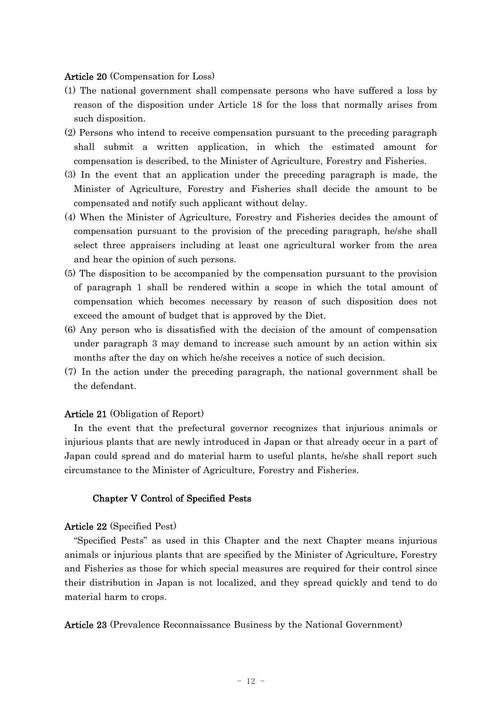### Article 20 (Compensation for Loss)

- (1) The national government shall compensate persons who have suffered a loss by reason of the disposition under Article 18 for the loss that normally arises from such disposition.
- (2) Persons who intend to receive compensation pursuant to the preceding paragraph shall submit a written application, in which the estimated amount for compensation is described, to the Minister of Agriculture, Forestry and Fisheries.
- (3) In the event that an application under the preceding paragraph is made, the Minister of Agriculture, Forestry and Fisheries shall decide the amount to be compensated and notify such applicant without delay.
- (4) When the Minister of Agriculture, Forestry and Fisheries decides the amount of compensation pursuant to the provision of the preceding paragraph, he/she shall select three appraisers including at least one agricultural worker from the area and hear the opinion of such persons.
- (5) The disposition to be accompanied by the compensation pursuant to the provision of paragraph 1 shall be rendered within a scope in which the total amount of compensation which becomes necessary by reason of such disposition does not exceed the amount of budget that is approved by the Diet.
- (6) Any person who is dissatisfied with the decision of the amount of compensation under paragraph 3 may demand to increase such amount by an action within six months after the day on which he/she receives a notice of such decision.
- (7) In the action under the preceding paragraph, the national government shall be the defendant.

### Article 21 (Obligation of Report)

In the event that the prefectural governor recognizes that injurious animals or injurious plants that are newly introduced in Japan or that already occur in a part of Japan could spread and do material harm to useful plants, he/she shall report such circumstance to the Minister of Agriculture, Forestry and Fisheries.

### Chapter V Control of Specified Pests

#### Article 22 (Specified Pest)

"Specified Pests" as used in this Chapter and the next Chapter means injurious animals or injurious plants that are specified by the Minister of Agriculture, Forestry and Fisheries as those for which special measures are required for their control since their distribution in Japan is not localized, and they spread quickly and tend to do material harm to crops.

Article 23 (Prevalence Reconnaissance Business by the National Government)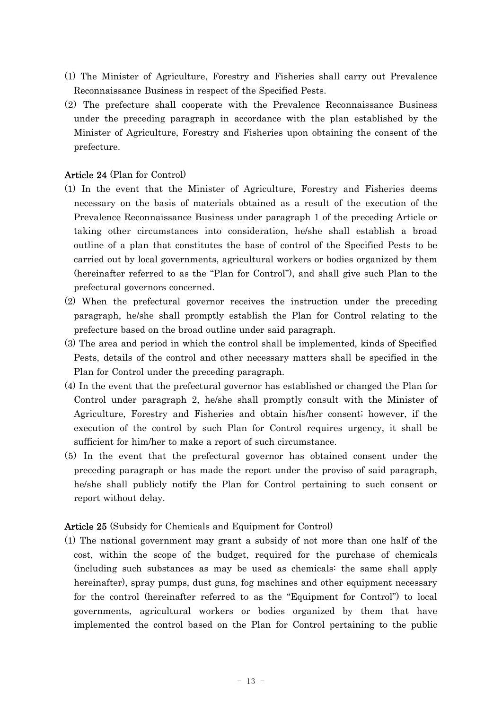- (1) The Minister of Agriculture, Forestry and Fisheries shall carry out Prevalence Reconnaissance Business in respect of the Specified Pests.
- (2) The prefecture shall cooperate with the Prevalence Reconnaissance Business under the preceding paragraph in accordance with the plan established by the Minister of Agriculture, Forestry and Fisheries upon obtaining the consent of the prefecture.

# Article 24 (Plan for Control)

- (1) In the event that the Minister of Agriculture, Forestry and Fisheries deems necessary on the basis of materials obtained as a result of the execution of the Prevalence Reconnaissance Business under paragraph 1 of the preceding Article or taking other circumstances into consideration, he/she shall establish a broad outline of a plan that constitutes the base of control of the Specified Pests to be carried out by local governments, agricultural workers or bodies organized by them (hereinafter referred to as the "Plan for Control"), and shall give such Plan to the prefectural governors concerned.
- (2) When the prefectural governor receives the instruction under the preceding paragraph, he/she shall promptly establish the Plan for Control relating to the prefecture based on the broad outline under said paragraph.
- (3) The area and period in which the control shall be implemented, kinds of Specified Pests, details of the control and other necessary matters shall be specified in the Plan for Control under the preceding paragraph.
- (4) In the event that the prefectural governor has established or changed the Plan for Control under paragraph 2, he/she shall promptly consult with the Minister of Agriculture, Forestry and Fisheries and obtain his/her consent; however, if the execution of the control by such Plan for Control requires urgency, it shall be sufficient for him/her to make a report of such circumstance.
- (5) In the event that the prefectural governor has obtained consent under the preceding paragraph or has made the report under the proviso of said paragraph, he/she shall publicly notify the Plan for Control pertaining to such consent or report without delay.

# Article 25 (Subsidy for Chemicals and Equipment for Control)

(1) The national government may grant a subsidy of not more than one half of the cost, within the scope of the budget, required for the purchase of chemicals (including such substances as may be used as chemicals: the same shall apply hereinafter), spray pumps, dust guns, fog machines and other equipment necessary for the control (hereinafter referred to as the "Equipment for Control") to local governments, agricultural workers or bodies organized by them that have implemented the control based on the Plan for Control pertaining to the public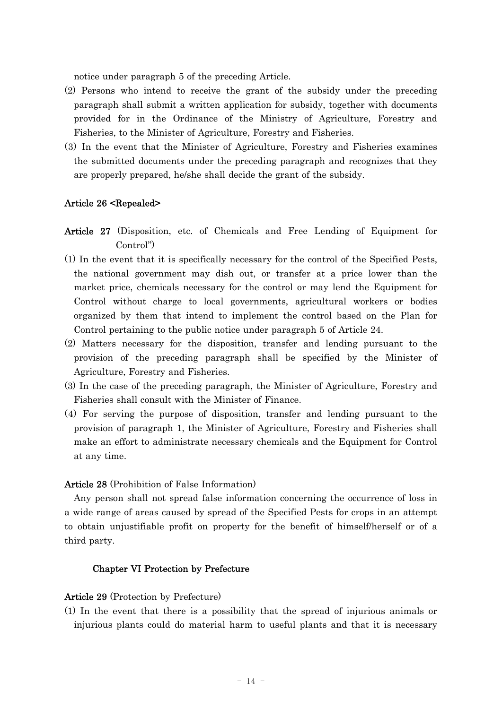notice under paragraph 5 of the preceding Article.

- (2) Persons who intend to receive the grant of the subsidy under the preceding paragraph shall submit a written application for subsidy, together with documents provided for in the Ordinance of the Ministry of Agriculture, Forestry and Fisheries, to the Minister of Agriculture, Forestry and Fisheries.
- (3) In the event that the Minister of Agriculture, Forestry and Fisheries examines the submitted documents under the preceding paragraph and recognizes that they are properly prepared, he/she shall decide the grant of the subsidy.

### Article 26 <Repealed>

- Article 27 (Disposition, etc. of Chemicals and Free Lending of Equipment for Control")
- (1) In the event that it is specifically necessary for the control of the Specified Pests, the national government may dish out, or transfer at a price lower than the market price, chemicals necessary for the control or may lend the Equipment for Control without charge to local governments, agricultural workers or bodies organized by them that intend to implement the control based on the Plan for Control pertaining to the public notice under paragraph 5 of Article 24.
- (2) Matters necessary for the disposition, transfer and lending pursuant to the provision of the preceding paragraph shall be specified by the Minister of Agriculture, Forestry and Fisheries.
- (3) In the case of the preceding paragraph, the Minister of Agriculture, Forestry and Fisheries shall consult with the Minister of Finance.
- (4) For serving the purpose of disposition, transfer and lending pursuant to the provision of paragraph 1, the Minister of Agriculture, Forestry and Fisheries shall make an effort to administrate necessary chemicals and the Equipment for Control at any time.

### Article 28 (Prohibition of False Information)

Any person shall not spread false information concerning the occurrence of loss in a wide range of areas caused by spread of the Specified Pests for crops in an attempt to obtain unjustifiable profit on property for the benefit of himself/herself or of a third party.

### Chapter VI Protection by Prefecture

#### Article 29 (Protection by Prefecture)

(1) In the event that there is a possibility that the spread of injurious animals or injurious plants could do material harm to useful plants and that it is necessary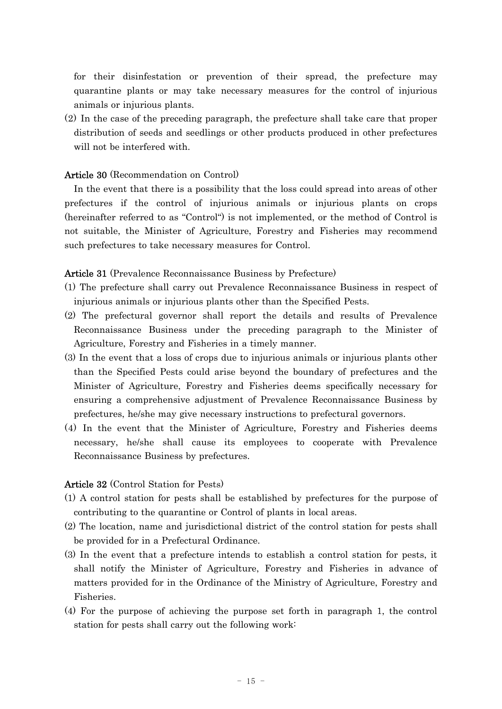for their disinfestation or prevention of their spread, the prefecture may quarantine plants or may take necessary measures for the control of injurious animals or injurious plants.

(2) In the case of the preceding paragraph, the prefecture shall take care that proper distribution of seeds and seedlings or other products produced in other prefectures will not be interfered with.

# Article 30 (Recommendation on Control)

In the event that there is a possibility that the loss could spread into areas of other prefectures if the control of injurious animals or injurious plants on crops (hereinafter referred to as "Control") is not implemented, or the method of Control is not suitable, the Minister of Agriculture, Forestry and Fisheries may recommend such prefectures to take necessary measures for Control.

### Article 31 (Prevalence Reconnaissance Business by Prefecture)

- (1) The prefecture shall carry out Prevalence Reconnaissance Business in respect of injurious animals or injurious plants other than the Specified Pests.
- (2) The prefectural governor shall report the details and results of Prevalence Reconnaissance Business under the preceding paragraph to the Minister of Agriculture, Forestry and Fisheries in a timely manner.
- (3) In the event that a loss of crops due to injurious animals or injurious plants other than the Specified Pests could arise beyond the boundary of prefectures and the Minister of Agriculture, Forestry and Fisheries deems specifically necessary for ensuring a comprehensive adjustment of Prevalence Reconnaissance Business by prefectures, he/she may give necessary instructions to prefectural governors.
- (4) In the event that the Minister of Agriculture, Forestry and Fisheries deems necessary, he/she shall cause its employees to cooperate with Prevalence Reconnaissance Business by prefectures.

### Article 32 (Control Station for Pests)

- (1) A control station for pests shall be established by prefectures for the purpose of contributing to the quarantine or Control of plants in local areas.
- (2) The location, name and jurisdictional district of the control station for pests shall be provided for in a Prefectural Ordinance.
- (3) In the event that a prefecture intends to establish a control station for pests, it shall notify the Minister of Agriculture, Forestry and Fisheries in advance of matters provided for in the Ordinance of the Ministry of Agriculture, Forestry and Fisheries.
- (4) For the purpose of achieving the purpose set forth in paragraph 1, the control station for pests shall carry out the following work: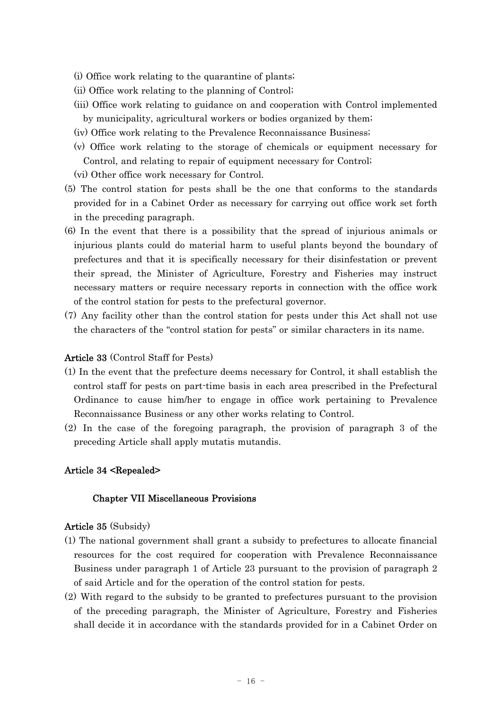- (i) Office work relating to the quarantine of plants;
- (ii) Office work relating to the planning of Control;
- (iii) Office work relating to guidance on and cooperation with Control implemented by municipality, agricultural workers or bodies organized by them;
- (iv) Office work relating to the Prevalence Reconnaissance Business;
- (v) Office work relating to the storage of chemicals or equipment necessary for Control, and relating to repair of equipment necessary for Control;
- (vi) Other office work necessary for Control.
- (5) The control station for pests shall be the one that conforms to the standards provided for in a Cabinet Order as necessary for carrying out office work set forth in the preceding paragraph.
- (6) In the event that there is a possibility that the spread of injurious animals or injurious plants could do material harm to useful plants beyond the boundary of prefectures and that it is specifically necessary for their disinfestation or prevent their spread, the Minister of Agriculture, Forestry and Fisheries may instruct necessary matters or require necessary reports in connection with the office work of the control station for pests to the prefectural governor.
- (7) Any facility other than the control station for pests under this Act shall not use the characters of the "control station for pests" or similar characters in its name.

# Article 33 (Control Staff for Pests)

- (1) In the event that the prefecture deems necessary for Control, it shall establish the control staff for pests on part-time basis in each area prescribed in the Prefectural Ordinance to cause him/her to engage in office work pertaining to Prevalence Reconnaissance Business or any other works relating to Control.
- (2) In the case of the foregoing paragraph, the provision of paragraph 3 of the preceding Article shall apply mutatis mutandis.

# Article 34 <Repealed>

### Chapter VII Miscellaneous Provisions

### Article 35 (Subsidy)

- (1) The national government shall grant a subsidy to prefectures to allocate financial resources for the cost required for cooperation with Prevalence Reconnaissance Business under paragraph 1 of Article 23 pursuant to the provision of paragraph 2 of said Article and for the operation of the control station for pests.
- (2) With regard to the subsidy to be granted to prefectures pursuant to the provision of the preceding paragraph, the Minister of Agriculture, Forestry and Fisheries shall decide it in accordance with the standards provided for in a Cabinet Order on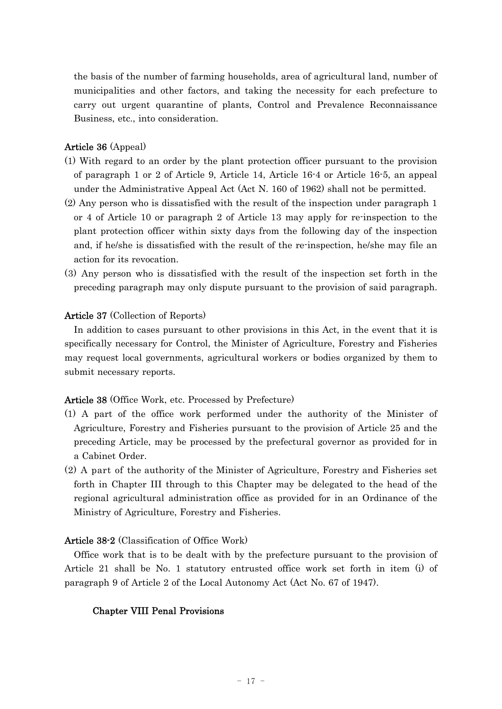the basis of the number of farming households, area of agricultural land, number of municipalities and other factors, and taking the necessity for each prefecture to carry out urgent quarantine of plants, Control and Prevalence Reconnaissance Business, etc., into consideration.

# Article 36 (Appeal)

- (1) With regard to an order by the plant protection officer pursuant to the provision of paragraph 1 or 2 of Article 9, Article 14, Article 16-4 or Article 16-5, an appeal under the Administrative Appeal Act (Act N. 160 of 1962) shall not be permitted.
- (2) Any person who is dissatisfied with the result of the inspection under paragraph 1 or 4 of Article 10 or paragraph 2 of Article 13 may apply for re-inspection to the plant protection officer within sixty days from the following day of the inspection and, if he/she is dissatisfied with the result of the re-inspection, he/she may file an action for its revocation.
- (3) Any person who is dissatisfied with the result of the inspection set forth in the preceding paragraph may only dispute pursuant to the provision of said paragraph.

# Article 37 (Collection of Reports)

In addition to cases pursuant to other provisions in this Act, in the event that it is specifically necessary for Control, the Minister of Agriculture, Forestry and Fisheries may request local governments, agricultural workers or bodies organized by them to submit necessary reports.

# Article 38 (Office Work, etc. Processed by Prefecture)

- (1) A part of the office work performed under the authority of the Minister of Agriculture, Forestry and Fisheries pursuant to the provision of Article 25 and the preceding Article, may be processed by the prefectural governor as provided for in a Cabinet Order.
- (2) A part of the authority of the Minister of Agriculture, Forestry and Fisheries set forth in Chapter III through to this Chapter may be delegated to the head of the regional agricultural administration office as provided for in an Ordinance of the Ministry of Agriculture, Forestry and Fisheries.

# Article 38-2 (Classification of Office Work)

Office work that is to be dealt with by the prefecture pursuant to the provision of Article 21 shall be No. 1 statutory entrusted office work set forth in item (i) of paragraph 9 of Article 2 of the Local Autonomy Act (Act No. 67 of 1947).

# Chapter VIII Penal Provisions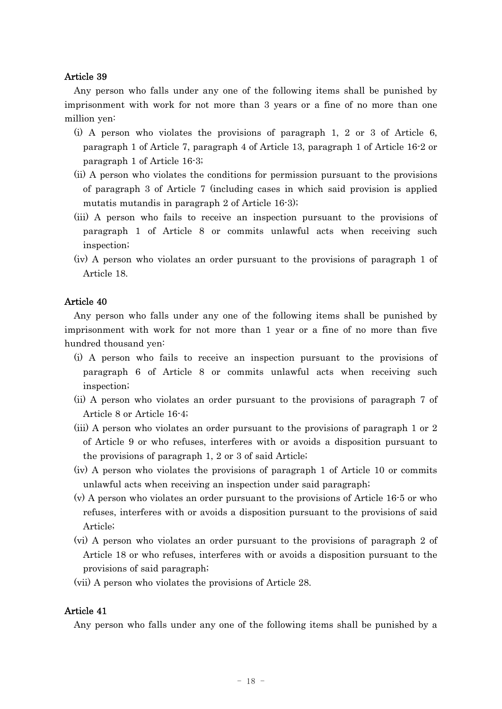### Article 39

Any person who falls under any one of the following items shall be punished by imprisonment with work for not more than 3 years or a fine of no more than one million yen:

- (i) A person who violates the provisions of paragraph 1, 2 or 3 of Article 6, paragraph 1 of Article 7, paragraph 4 of Article 13, paragraph 1 of Article 16-2 or paragraph 1 of Article 16-3;
- (ii) A person who violates the conditions for permission pursuant to the provisions of paragraph 3 of Article 7 (including cases in which said provision is applied mutatis mutandis in paragraph 2 of Article 16-3);
- (iii) A person who fails to receive an inspection pursuant to the provisions of paragraph 1 of Article 8 or commits unlawful acts when receiving such inspection;
- (iv) A person who violates an order pursuant to the provisions of paragraph 1 of Article 18.

# Article 40

Any person who falls under any one of the following items shall be punished by imprisonment with work for not more than 1 year or a fine of no more than five hundred thousand yen:

- (i) A person who fails to receive an inspection pursuant to the provisions of paragraph 6 of Article 8 or commits unlawful acts when receiving such inspection;
- (ii) A person who violates an order pursuant to the provisions of paragraph 7 of Article 8 or Article 16-4;
- (iii) A person who violates an order pursuant to the provisions of paragraph 1 or 2 of Article 9 or who refuses, interferes with or avoids a disposition pursuant to the provisions of paragraph 1, 2 or 3 of said Article;
- (iv) A person who violates the provisions of paragraph 1 of Article 10 or commits unlawful acts when receiving an inspection under said paragraph;
- (v) A person who violates an order pursuant to the provisions of Article 16-5 or who refuses, interferes with or avoids a disposition pursuant to the provisions of said Article;
- (vi) A person who violates an order pursuant to the provisions of paragraph 2 of Article 18 or who refuses, interferes with or avoids a disposition pursuant to the provisions of said paragraph;
- (vii) A person who violates the provisions of Article 28.

# Article 41

Any person who falls under any one of the following items shall be punished by a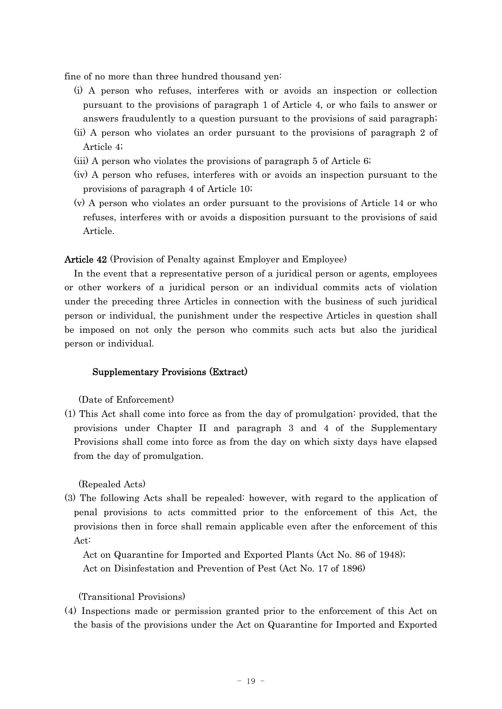fine of no more than three hundred thousand yen:

- (i) A person who refuses, interferes with or avoids an inspection or collection pursuant to the provisions of paragraph 1 of Article 4, or who fails to answer or answers fraudulently to a question pursuant to the provisions of said paragraph;
- (ii) A person who violates an order pursuant to the provisions of paragraph 2 of Article 4;
- (iii) A person who violates the provisions of paragraph 5 of Article 6;
- (iv) A person who refuses, interferes with or avoids an inspection pursuant to the provisions of paragraph 4 of Article 10;
- (v) A person who violates an order pursuant to the provisions of Article 14 or who refuses, interferes with or avoids a disposition pursuant to the provisions of said Article.

Article 42 (Provision of Penalty against Employer and Employee)

In the event that a representative person of a juridical person or agents, employees or other workers of a juridical person or an individual commits acts of violation under the preceding three Articles in connection with the business of such juridical person or individual, the punishment under the respective Articles in question shall be imposed on not only the person who commits such acts but also the juridical person or individual.

### Supplementary Provisions (Extract)

(Date of Enforcement)

(1) This Act shall come into force as from the day of promulgation: provided, that the provisions under Chapter II and paragraph 3 and 4 of the Supplementary Provisions shall come into force as from the day on which sixty days have elapsed from the day of promulgation.

(Repealed Acts)

(3) The following Acts shall be repealed: however, with regard to the application of penal provisions to acts committed prior to the enforcement of this Act, the provisions then in force shall remain applicable even after the enforcement of this Act:

Act on Quarantine for Imported and Exported Plants (Act No. 86 of 1948); Act on Disinfestation and Prevention of Pest (Act No. 17 of 1896)

(Transitional Provisions)

(4) Inspections made or permission granted prior to the enforcement of this Act on the basis of the provisions under the Act on Quarantine for Imported and Exported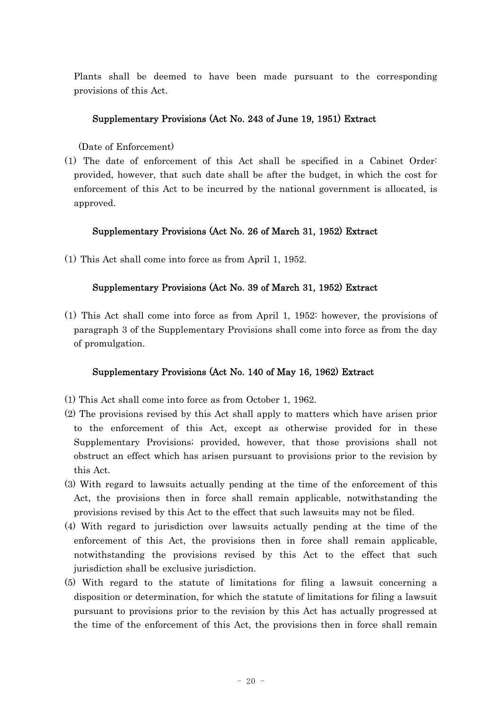Plants shall be deemed to have been made pursuant to the corresponding provisions of this Act.

# Supplementary Provisions (Act No. 243 of June 19, 1951) Extract

(Date of Enforcement)

(1) The date of enforcement of this Act shall be specified in a Cabinet Order: provided, however, that such date shall be after the budget, in which the cost for enforcement of this Act to be incurred by the national government is allocated, is approved.

# Supplementary Provisions (Act No. 26 of March 31, 1952) Extract

(1) This Act shall come into force as from April 1, 1952.

# Supplementary Provisions (Act No. 39 of March 31, 1952) Extract

(1) This Act shall come into force as from April 1, 1952: however, the provisions of paragraph 3 of the Supplementary Provisions shall come into force as from the day of promulgation.

# Supplementary Provisions (Act No. 140 of May 16, 1962) Extract

- (1) This Act shall come into force as from October 1, 1962.
- (2) The provisions revised by this Act shall apply to matters which have arisen prior to the enforcement of this Act, except as otherwise provided for in these Supplementary Provisions; provided, however, that those provisions shall not obstruct an effect which has arisen pursuant to provisions prior to the revision by this Act.
- (3) With regard to lawsuits actually pending at the time of the enforcement of this Act, the provisions then in force shall remain applicable, notwithstanding the provisions revised by this Act to the effect that such lawsuits may not be filed.
- (4) With regard to jurisdiction over lawsuits actually pending at the time of the enforcement of this Act, the provisions then in force shall remain applicable, notwithstanding the provisions revised by this Act to the effect that such jurisdiction shall be exclusive jurisdiction.
- (5) With regard to the statute of limitations for filing a lawsuit concerning a disposition or determination, for which the statute of limitations for filing a lawsuit pursuant to provisions prior to the revision by this Act has actually progressed at the time of the enforcement of this Act, the provisions then in force shall remain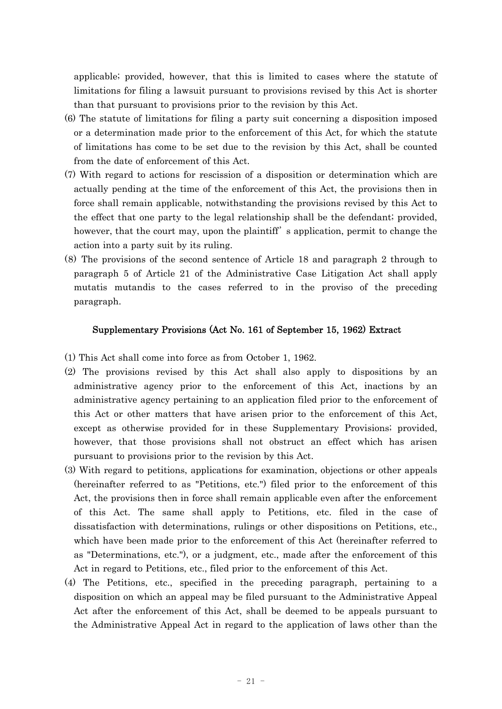applicable; provided, however, that this is limited to cases where the statute of limitations for filing a lawsuit pursuant to provisions revised by this Act is shorter than that pursuant to provisions prior to the revision by this Act.

- (6) The statute of limitations for filing a party suit concerning a disposition imposed or a determination made prior to the enforcement of this Act, for which the statute of limitations has come to be set due to the revision by this Act, shall be counted from the date of enforcement of this Act.
- (7) With regard to actions for rescission of a disposition or determination which are actually pending at the time of the enforcement of this Act, the provisions then in force shall remain applicable, notwithstanding the provisions revised by this Act to the effect that one party to the legal relationship shall be the defendant; provided, however, that the court may, upon the plaintiff' s application, permit to change the action into a party suit by its ruling.
- (8) The provisions of the second sentence of Article 18 and paragraph 2 through to paragraph 5 of Article 21 of the Administrative Case Litigation Act shall apply mutatis mutandis to the cases referred to in the proviso of the preceding paragraph.

# Supplementary Provisions (Act No. 161 of September 15, 1962) Extract

- (1) This Act shall come into force as from October 1, 1962.
- (2) The provisions revised by this Act shall also apply to dispositions by an administrative agency prior to the enforcement of this Act, inactions by an administrative agency pertaining to an application filed prior to the enforcement of this Act or other matters that have arisen prior to the enforcement of this Act, except as otherwise provided for in these Supplementary Provisions; provided, however, that those provisions shall not obstruct an effect which has arisen pursuant to provisions prior to the revision by this Act.
- (3) With regard to petitions, applications for examination, objections or other appeals (hereinafter referred to as "Petitions, etc.") filed prior to the enforcement of this Act, the provisions then in force shall remain applicable even after the enforcement of this Act. The same shall apply to Petitions, etc. filed in the case of dissatisfaction with determinations, rulings or other dispositions on Petitions, etc., which have been made prior to the enforcement of this Act (hereinafter referred to as "Determinations, etc."), or a judgment, etc., made after the enforcement of this Act in regard to Petitions, etc., filed prior to the enforcement of this Act.
- (4) The Petitions, etc., specified in the preceding paragraph, pertaining to a disposition on which an appeal may be filed pursuant to the Administrative Appeal Act after the enforcement of this Act, shall be deemed to be appeals pursuant to the Administrative Appeal Act in regard to the application of laws other than the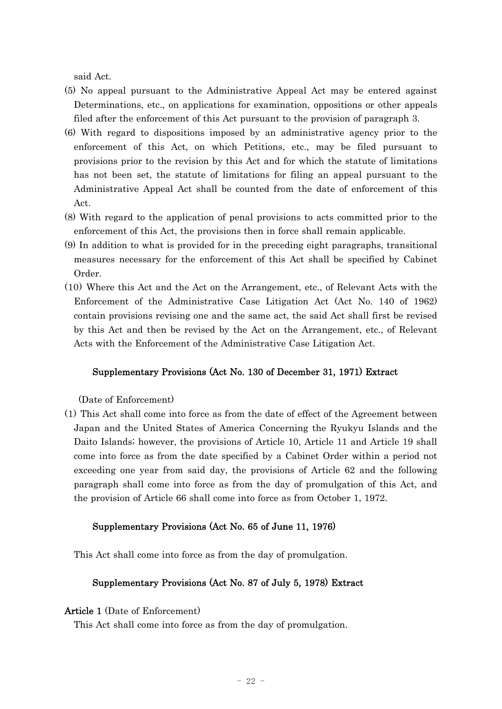said Act.

- (5) No appeal pursuant to the Administrative Appeal Act may be entered against Determinations, etc., on applications for examination, oppositions or other appeals filed after the enforcement of this Act pursuant to the provision of paragraph 3.
- (6) With regard to dispositions imposed by an administrative agency prior to the enforcement of this Act, on which Petitions, etc., may be filed pursuant to provisions prior to the revision by this Act and for which the statute of limitations has not been set, the statute of limitations for filing an appeal pursuant to the Administrative Appeal Act shall be counted from the date of enforcement of this Act.
- (8) With regard to the application of penal provisions to acts committed prior to the enforcement of this Act, the provisions then in force shall remain applicable.
- (9) In addition to what is provided for in the preceding eight paragraphs, transitional measures necessary for the enforcement of this Act shall be specified by Cabinet Order.
- (10) Where this Act and the Act on the Arrangement, etc., of Relevant Acts with the Enforcement of the Administrative Case Litigation Act (Act No. 140 of 1962) contain provisions revising one and the same act, the said Act shall first be revised by this Act and then be revised by the Act on the Arrangement, etc., of Relevant Acts with the Enforcement of the Administrative Case Litigation Act.

# Supplementary Provisions (Act No. 130 of December 31, 1971) Extract

(Date of Enforcement)

(1) This Act shall come into force as from the date of effect of the Agreement between Japan and the United States of America Concerning the Ryukyu Islands and the Daito Islands; however, the provisions of Article 10, Article 11 and Article 19 shall come into force as from the date specified by a Cabinet Order within a period not exceeding one year from said day, the provisions of Article 62 and the following paragraph shall come into force as from the day of promulgation of this Act, and the provision of Article 66 shall come into force as from October 1, 1972.

### Supplementary Provisions (Act No. 65 of June 11, 1976)

This Act shall come into force as from the day of promulgation.

# Supplementary Provisions (Act No. 87 of July 5, 1978) Extract

# Article 1 (Date of Enforcement)

This Act shall come into force as from the day of promulgation.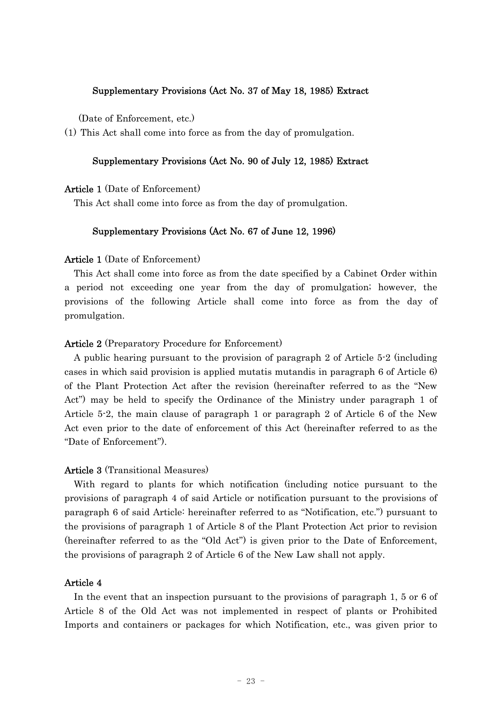# Supplementary Provisions (Act No. 37 of May 18, 1985) Extract

(Date of Enforcement, etc.)

(1) This Act shall come into force as from the day of promulgation.

# Supplementary Provisions (Act No. 90 of July 12, 1985) Extract

Article 1 (Date of Enforcement)

This Act shall come into force as from the day of promulgation.

# Supplementary Provisions (Act No. 67 of June 12, 1996)

### Article 1 (Date of Enforcement)

This Act shall come into force as from the date specified by a Cabinet Order within a period not exceeding one year from the day of promulgation; however, the provisions of the following Article shall come into force as from the day of promulgation.

### Article 2 (Preparatory Procedure for Enforcement)

A public hearing pursuant to the provision of paragraph 2 of Article 5-2 (including cases in which said provision is applied mutatis mutandis in paragraph 6 of Article 6) of the Plant Protection Act after the revision (hereinafter referred to as the "New Act") may be held to specify the Ordinance of the Ministry under paragraph 1 of Article 5-2, the main clause of paragraph 1 or paragraph 2 of Article 6 of the New Act even prior to the date of enforcement of this Act (hereinafter referred to as the "Date of Enforcement").

### Article 3 (Transitional Measures)

With regard to plants for which notification (including notice pursuant to the provisions of paragraph 4 of said Article or notification pursuant to the provisions of paragraph 6 of said Article: hereinafter referred to as "Notification, etc.") pursuant to the provisions of paragraph 1 of Article 8 of the Plant Protection Act prior to revision (hereinafter referred to as the "Old Act") is given prior to the Date of Enforcement, the provisions of paragraph 2 of Article 6 of the New Law shall not apply.

# Article 4

In the event that an inspection pursuant to the provisions of paragraph 1, 5 or 6 of Article 8 of the Old Act was not implemented in respect of plants or Prohibited Imports and containers or packages for which Notification, etc., was given prior to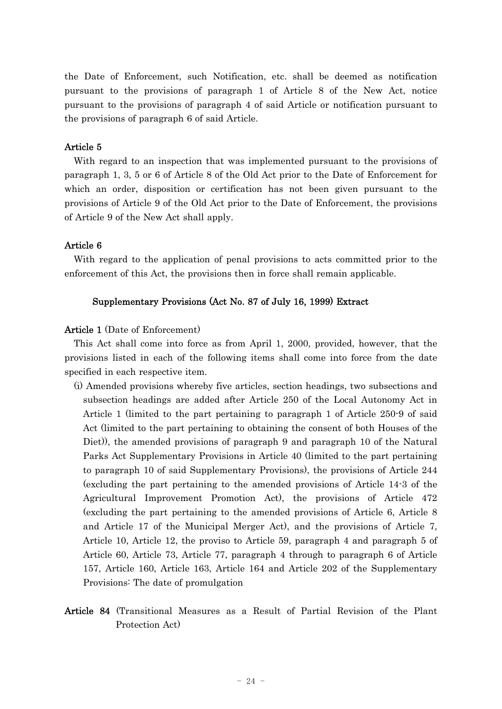the Date of Enforcement, such Notification, etc. shall be deemed as notification pursuant to the provisions of paragraph 1 of Article 8 of the New Act, notice pursuant to the provisions of paragraph 4 of said Article or notification pursuant to the provisions of paragraph 6 of said Article.

# Article 5

With regard to an inspection that was implemented pursuant to the provisions of paragraph 1, 3, 5 or 6 of Article 8 of the Old Act prior to the Date of Enforcement for which an order, disposition or certification has not been given pursuant to the provisions of Article 9 of the Old Act prior to the Date of Enforcement, the provisions of Article 9 of the New Act shall apply.

# Article 6

With regard to the application of penal provisions to acts committed prior to the enforcement of this Act, the provisions then in force shall remain applicable.

# Supplementary Provisions (Act No. 87 of July 16, 1999) Extract

# Article 1 (Date of Enforcement)

This Act shall come into force as from April 1, 2000, provided, however, that the provisions listed in each of the following items shall come into force from the date specified in each respective item.

- (i) Amended provisions whereby five articles, section headings, two subsections and subsection headings are added after Article 250 of the Local Autonomy Act in Article 1 (limited to the part pertaining to paragraph 1 of Article 250-9 of said Act (limited to the part pertaining to obtaining the consent of both Houses of the Diet)), the amended provisions of paragraph 9 and paragraph 10 of the Natural Parks Act Supplementary Provisions in Article 40 (limited to the part pertaining to paragraph 10 of said Supplementary Provisions), the provisions of Article 244 (excluding the part pertaining to the amended provisions of Article 14-3 of the Agricultural Improvement Promotion Act), the provisions of Article 472 (excluding the part pertaining to the amended provisions of Article 6, Article 8 and Article 17 of the Municipal Merger Act), and the provisions of Article 7, Article 10, Article 12, the proviso to Article 59, paragraph 4 and paragraph 5 of Article 60, Article 73, Article 77, paragraph 4 through to paragraph 6 of Article 157, Article 160, Article 163, Article 164 and Article 202 of the Supplementary Provisions: The date of promulgation
- Article 84 (Transitional Measures as a Result of Partial Revision of the Plant Protection Act)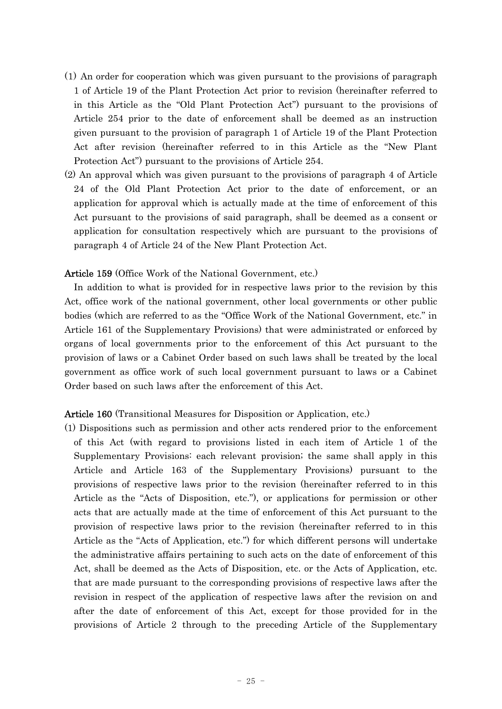- (1) An order for cooperation which was given pursuant to the provisions of paragraph 1 of Article 19 of the Plant Protection Act prior to revision (hereinafter referred to in this Article as the "Old Plant Protection Act") pursuant to the provisions of Article 254 prior to the date of enforcement shall be deemed as an instruction given pursuant to the provision of paragraph 1 of Article 19 of the Plant Protection Act after revision (hereinafter referred to in this Article as the "New Plant Protection Act") pursuant to the provisions of Article 254.
- (2) An approval which was given pursuant to the provisions of paragraph 4 of Article 24 of the Old Plant Protection Act prior to the date of enforcement, or an application for approval which is actually made at the time of enforcement of this Act pursuant to the provisions of said paragraph, shall be deemed as a consent or application for consultation respectively which are pursuant to the provisions of paragraph 4 of Article 24 of the New Plant Protection Act.

# Article 159 (Office Work of the National Government, etc.)

In addition to what is provided for in respective laws prior to the revision by this Act, office work of the national government, other local governments or other public bodies (which are referred to as the "Office Work of the National Government, etc." in Article 161 of the Supplementary Provisions) that were administrated or enforced by organs of local governments prior to the enforcement of this Act pursuant to the provision of laws or a Cabinet Order based on such laws shall be treated by the local government as office work of such local government pursuant to laws or a Cabinet Order based on such laws after the enforcement of this Act.

### Article 160 (Transitional Measures for Disposition or Application, etc.)

(1) Dispositions such as permission and other acts rendered prior to the enforcement of this Act (with regard to provisions listed in each item of Article 1 of the Supplementary Provisions: each relevant provision; the same shall apply in this Article and Article 163 of the Supplementary Provisions) pursuant to the provisions of respective laws prior to the revision (hereinafter referred to in this Article as the "Acts of Disposition, etc."), or applications for permission or other acts that are actually made at the time of enforcement of this Act pursuant to the provision of respective laws prior to the revision (hereinafter referred to in this Article as the "Acts of Application, etc.") for which different persons will undertake the administrative affairs pertaining to such acts on the date of enforcement of this Act, shall be deemed as the Acts of Disposition, etc. or the Acts of Application, etc. that are made pursuant to the corresponding provisions of respective laws after the revision in respect of the application of respective laws after the revision on and after the date of enforcement of this Act, except for those provided for in the provisions of Article 2 through to the preceding Article of the Supplementary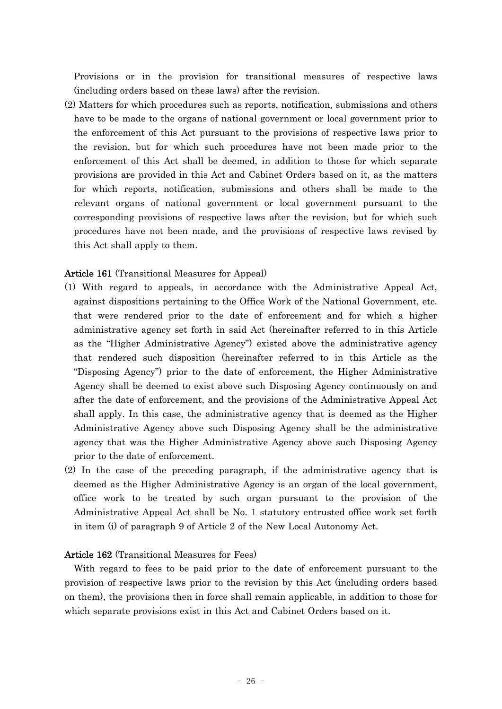Provisions or in the provision for transitional measures of respective laws (including orders based on these laws) after the revision.

(2) Matters for which procedures such as reports, notification, submissions and others have to be made to the organs of national government or local government prior to the enforcement of this Act pursuant to the provisions of respective laws prior to the revision, but for which such procedures have not been made prior to the enforcement of this Act shall be deemed, in addition to those for which separate provisions are provided in this Act and Cabinet Orders based on it, as the matters for which reports, notification, submissions and others shall be made to the relevant organs of national government or local government pursuant to the corresponding provisions of respective laws after the revision, but for which such procedures have not been made, and the provisions of respective laws revised by this Act shall apply to them.

# Article 161 (Transitional Measures for Appeal)

- (1) With regard to appeals, in accordance with the Administrative Appeal Act, against dispositions pertaining to the Office Work of the National Government, etc. that were rendered prior to the date of enforcement and for which a higher administrative agency set forth in said Act (hereinafter referred to in this Article as the "Higher Administrative Agency") existed above the administrative agency that rendered such disposition (hereinafter referred to in this Article as the "Disposing Agency") prior to the date of enforcement, the Higher Administrative Agency shall be deemed to exist above such Disposing Agency continuously on and after the date of enforcement, and the provisions of the Administrative Appeal Act shall apply. In this case, the administrative agency that is deemed as the Higher Administrative Agency above such Disposing Agency shall be the administrative agency that was the Higher Administrative Agency above such Disposing Agency prior to the date of enforcement.
- (2) In the case of the preceding paragraph, if the administrative agency that is deemed as the Higher Administrative Agency is an organ of the local government, office work to be treated by such organ pursuant to the provision of the Administrative Appeal Act shall be No. 1 statutory entrusted office work set forth in item (i) of paragraph 9 of Article 2 of the New Local Autonomy Act.

# Article 162 (Transitional Measures for Fees)

With regard to fees to be paid prior to the date of enforcement pursuant to the provision of respective laws prior to the revision by this Act (including orders based on them), the provisions then in force shall remain applicable, in addition to those for which separate provisions exist in this Act and Cabinet Orders based on it.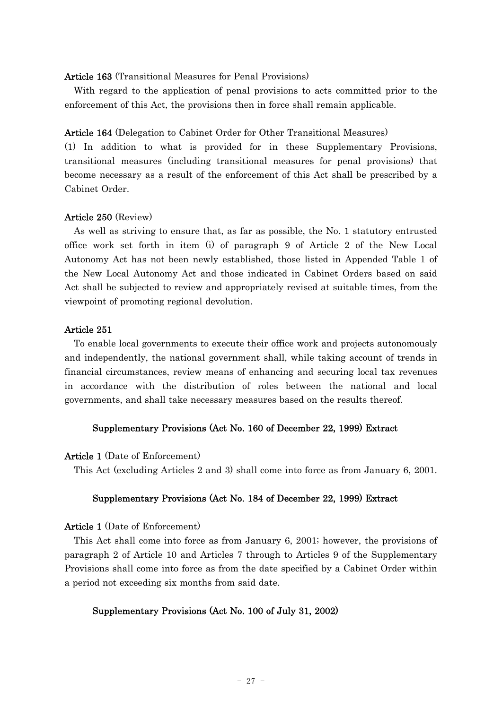### Article 163 (Transitional Measures for Penal Provisions)

With regard to the application of penal provisions to acts committed prior to the enforcement of this Act, the provisions then in force shall remain applicable.

Article 164 (Delegation to Cabinet Order for Other Transitional Measures)

(1) In addition to what is provided for in these Supplementary Provisions, transitional measures (including transitional measures for penal provisions) that become necessary as a result of the enforcement of this Act shall be prescribed by a Cabinet Order.

# Article 250 (Review)

As well as striving to ensure that, as far as possible, the No. 1 statutory entrusted office work set forth in item (i) of paragraph 9 of Article 2 of the New Local Autonomy Act has not been newly established, those listed in Appended Table 1 of the New Local Autonomy Act and those indicated in Cabinet Orders based on said Act shall be subjected to review and appropriately revised at suitable times, from the viewpoint of promoting regional devolution.

# Article 251

To enable local governments to execute their office work and projects autonomously and independently, the national government shall, while taking account of trends in financial circumstances, review means of enhancing and securing local tax revenues in accordance with the distribution of roles between the national and local governments, and shall take necessary measures based on the results thereof.

# Supplementary Provisions (Act No. 160 of December 22, 1999) Extract

### Article 1 (Date of Enforcement)

This Act (excluding Articles 2 and 3) shall come into force as from January 6, 2001.

### Supplementary Provisions (Act No. 184 of December 22, 1999) Extract

### Article 1 (Date of Enforcement)

This Act shall come into force as from January 6, 2001; however, the provisions of paragraph 2 of Article 10 and Articles 7 through to Articles 9 of the Supplementary Provisions shall come into force as from the date specified by a Cabinet Order within a period not exceeding six months from said date.

# Supplementary Provisions (Act No. 100 of July 31, 2002)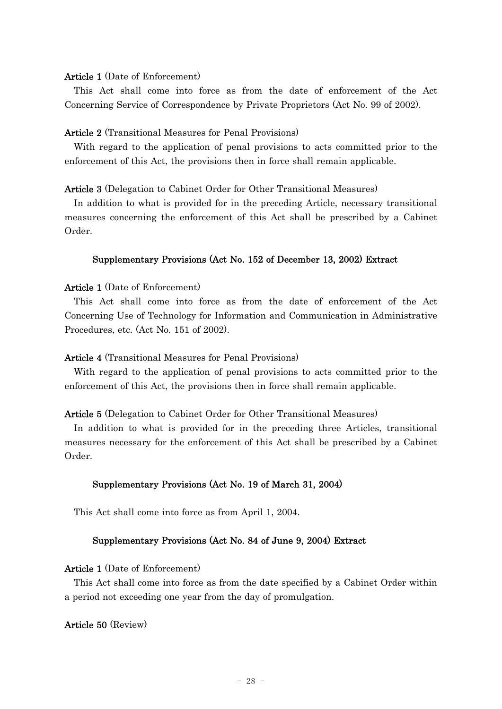### Article 1 (Date of Enforcement)

This Act shall come into force as from the date of enforcement of the Act Concerning Service of Correspondence by Private Proprietors (Act No. 99 of 2002).

### Article 2 (Transitional Measures for Penal Provisions)

With regard to the application of penal provisions to acts committed prior to the enforcement of this Act, the provisions then in force shall remain applicable.

### Article 3 (Delegation to Cabinet Order for Other Transitional Measures)

In addition to what is provided for in the preceding Article, necessary transitional measures concerning the enforcement of this Act shall be prescribed by a Cabinet Order.

### Supplementary Provisions (Act No. 152 of December 13, 2002) Extract

# Article 1 (Date of Enforcement)

This Act shall come into force as from the date of enforcement of the Act Concerning Use of Technology for Information and Communication in Administrative Procedures, etc. (Act No. 151 of 2002).

### Article 4 (Transitional Measures for Penal Provisions)

With regard to the application of penal provisions to acts committed prior to the enforcement of this Act, the provisions then in force shall remain applicable.

### Article 5 (Delegation to Cabinet Order for Other Transitional Measures)

In addition to what is provided for in the preceding three Articles, transitional measures necessary for the enforcement of this Act shall be prescribed by a Cabinet Order.

### Supplementary Provisions (Act No. 19 of March 31, 2004)

This Act shall come into force as from April 1, 2004.

# Supplementary Provisions (Act No. 84 of June 9, 2004) Extract

# Article 1 (Date of Enforcement)

This Act shall come into force as from the date specified by a Cabinet Order within a period not exceeding one year from the day of promulgation.

# Article 50 (Review)